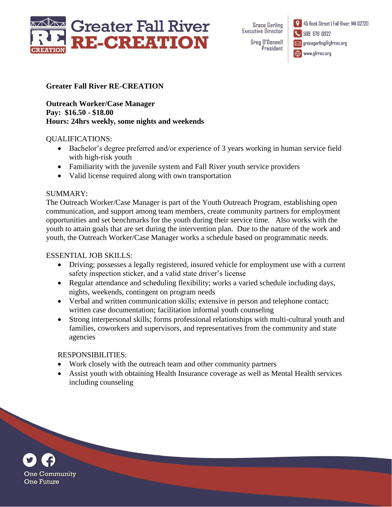

**Grace Gerling Executive Director** Greg D'Donnell President 45 Rock Street | Fall River, MA 02720 508 679 0922 **Solution** gracegerling@gfrrec.org www.gfrrec.org

### **Greater Fall River RE-CREATION**

**Outreach Worker/Case Manager Pay: \$16.50 - \$18.00 Hours: 24hrs weekly, some nights and weekends**

#### QUALIFICATIONS:

- Bachelor's degree preferred and/or experience of 3 years working in human service field with high-risk youth
- Familiarity with the juvenile system and Fall River youth service providers
- Valid license required along with own transportation

### SUMMARY:

The Outreach Worker/Case Manager is part of the Youth Outreach Program, establishing open communication, and support among team members, create community partners for employment opportunities and set benchmarks for the youth during their service time. Also works with the youth to attain goals that are set during the intervention plan. Due to the nature of the work and youth, the Outreach Worker/Case Manager works a schedule based on programmatic needs.

# ESSENTIAL JOB SKILLS:

- Driving; possesses a legally registered, insured vehicle for employment use with a current safety inspection sticker, and a valid state driver's license
- Regular attendance and scheduling flexibility; works a varied schedule including days, nights, weekends, contingent on program needs
- Verbal and written communication skills; extensive in person and telephone contact; written case documentation; facilitation informal youth counseling
- Strong interpersonal skills; forms professional relationships with multi-cultural youth and families, coworkers and supervisors, and representatives from the community and state agencies

# RESPONSIBILITIES:

- Work closely with the outreach team and other community partners
- Assist youth with obtaining Health Insurance coverage as well as Mental Health services including counseling